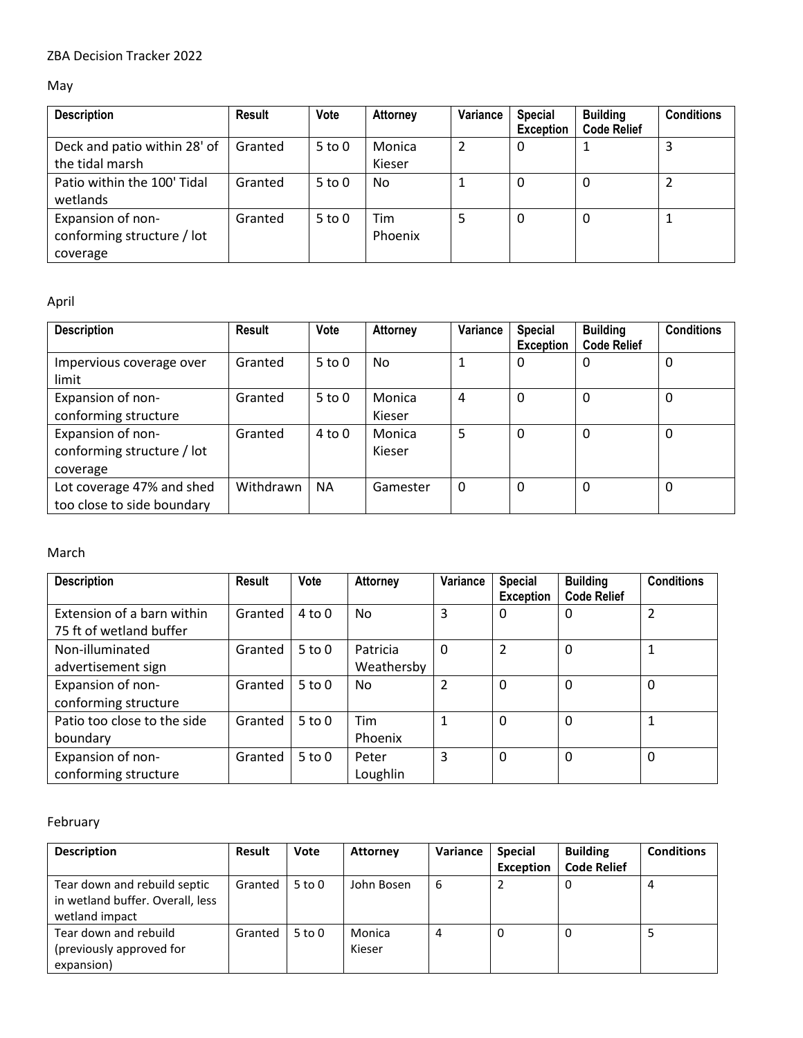### May

| <b>Description</b>                                          | Result  | Vote       | <b>Attorney</b>  | Variance | <b>Special</b><br><b>Exception</b> | <b>Building</b><br><b>Code Relief</b> | <b>Conditions</b> |
|-------------------------------------------------------------|---------|------------|------------------|----------|------------------------------------|---------------------------------------|-------------------|
| Deck and patio within 28' of<br>the tidal marsh             | Granted | $5$ to $0$ | Monica<br>Kieser | 2        | 0                                  |                                       | 3                 |
| Patio within the 100' Tidal<br>wetlands                     | Granted | $5$ to $0$ | No               |          | 0                                  | 0                                     |                   |
| Expansion of non-<br>conforming structure / lot<br>coverage | Granted | $5$ to $0$ | Tim<br>Phoenix   |          | 0                                  | 0                                     |                   |

# April

| <b>Description</b>                                          | <b>Result</b> | Vote       | <b>Attorney</b>  | Variance | <b>Special</b><br><b>Exception</b> | <b>Building</b><br><b>Code Relief</b> | <b>Conditions</b> |
|-------------------------------------------------------------|---------------|------------|------------------|----------|------------------------------------|---------------------------------------|-------------------|
| Impervious coverage over<br>limit                           | Granted       | $5$ to $0$ | No               | 1        | 0                                  | 0                                     | 0                 |
| Expansion of non-<br>conforming structure                   | Granted       | $5$ to $0$ | Monica<br>Kieser | 4        | 0                                  | 0                                     | 0                 |
| Expansion of non-<br>conforming structure / lot<br>coverage | Granted       | 4 to 0     | Monica<br>Kieser | 5        | $\mathbf{0}$                       | $\Omega$                              | 0                 |
| Lot coverage 47% and shed<br>too close to side boundary     | Withdrawn     | <b>NA</b>  | Gamester         | 0        | 0                                  | 0                                     | 0                 |

#### March

| <b>Description</b>          | <b>Result</b> | Vote       | Attorney   | Variance | <b>Special</b><br><b>Exception</b> | <b>Building</b><br><b>Code Relief</b> | <b>Conditions</b> |
|-----------------------------|---------------|------------|------------|----------|------------------------------------|---------------------------------------|-------------------|
| Extension of a barn within  | Granted       | $4$ to $0$ | No         | 3        | 0                                  | 0                                     | $\overline{2}$    |
| 75 ft of wetland buffer     |               |            |            |          |                                    |                                       |                   |
| Non-illuminated             | Granted       | $5$ to $0$ | Patricia   | 0        | $\mathfrak{p}$                     | 0                                     | 1                 |
| advertisement sign          |               |            | Weathersby |          |                                    |                                       |                   |
| Expansion of non-           | Granted       | $5$ to $0$ | No         | 2        | $\mathbf 0$                        | $\mathbf{0}$                          | $\mathbf 0$       |
| conforming structure        |               |            |            |          |                                    |                                       |                   |
| Patio too close to the side | Granted       | $5$ to $0$ | Tim        | 1        | 0                                  | 0                                     | 1                 |
| boundary                    |               |            | Phoenix    |          |                                    |                                       |                   |
| Expansion of non-           | Granted       | $5$ to $0$ | Peter      | 3        | 0                                  | $\mathbf{0}$                          | $\mathbf 0$       |
| conforming structure        |               |            | Loughlin   |          |                                    |                                       |                   |

### February

| <b>Description</b>                                                                 | Result  | <b>Vote</b> | <b>Attorney</b>  | Variance       | <b>Special</b><br><b>Exception</b> | <b>Building</b><br><b>Code Relief</b> | <b>Conditions</b> |
|------------------------------------------------------------------------------------|---------|-------------|------------------|----------------|------------------------------------|---------------------------------------|-------------------|
| Tear down and rebuild septic<br>in wetland buffer. Overall, less<br>wetland impact | Granted | $5$ to $0$  | John Bosen       | 6              | 2                                  | 0                                     |                   |
| Tear down and rebuild<br>(previously approved for<br>expansion)                    | Granted | $5$ to $0$  | Monica<br>Kieser | $\overline{a}$ | $\Omega$                           | 0                                     |                   |